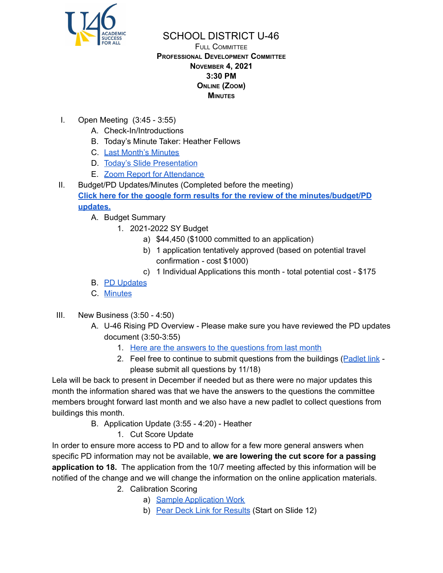

## SCHOOL DISTRICT U-46

## FULL COMMITTEE **PROFESSIONAL DEVELOPMENT COMMITTEE NOVEMBER 4, 2021 3:30 PM ONLINE (ZOOM) MINUTES**

- I. Open Meeting (3:45 3:55)
	- A. Check-In/Introductions
	- B. Today's Minute Taker: Heather Fellows
	- C. Last Month's [Minutes](https://www.u-46.org/site/handlers/filedownload.ashx?moduleinstanceid=40057&dataid=65148&FileName=10-7-21%20Minutes%20PD%20FC.pdf)
	- D. Today's Slide [Presentation](https://docs.google.com/presentation/d/1GzAs5p37LhswdZj-EDuk_iKXN9htr89K-5eiyP9qanY/edit?usp=sharing)
	- E. Zoom Report for [Attendance](https://docs.google.com/spreadsheets/d/1jRWwr-9wb1xRd1tJYO6GuWUWBhlHlTqS/edit?usp=sharing&ouid=114155932067581146592&rtpof=true&sd=true)
- II. Budget/PD Updates/Minutes (Completed before the meeting) **Click here for the google form results for the review of the [minutes/budget/PD](https://docs.google.com/forms/d/1_kaQ0Mvjd_sumCI8C3zwfs26r4igov_Kd36lvWzmns8/viewanalytics) [updates.](https://docs.google.com/forms/d/1_kaQ0Mvjd_sumCI8C3zwfs26r4igov_Kd36lvWzmns8/viewanalytics)**
	- A. Budget Summary
		- 1. 2021-2022 SY Budget
			- a) \$44,450 (\$1000 committed to an application)
			- b) 1 application tentatively approved (based on potential travel confirmation - cost \$1000)
			- c) 1 Individual Applications this month total potential cost \$175
	- B. PD [Updates](https://docs.google.com/document/d/1J-TEE41yS-9xDQmjZOjZKrN_2NlbEO0gi7dRA9nTfiE/edit?usp=sharing)
	- C. [Minutes](https://www.u-46.org/site/handlers/filedownload.ashx?moduleinstanceid=40057&dataid=65148&FileName=10-7-21%20Minutes%20PD%20FC.pdf)
- III. New Business (3:50 4:50)
	- A. U-46 Rising PD Overview Please make sure you have reviewed the PD updates document (3:50-3:55)
		- 1. Here are the answers to the [questions](https://docs.google.com/document/d/1NZqrzkfDVVVgqtwEZK6xwjTWHiFfiYZtL3cUvEEEWdw/edit?usp=sharing) from last month
		- 2. Feel free to continue to submit questions from the buildings ([Padlet](https://padlet.com/heatherfellows/fwwm6oe7c9drvq7m) link please submit all questions by 11/18)

Lela will be back to present in December if needed but as there were no major updates this month the information shared was that we have the answers to the questions the committee members brought forward last month and we also have a new padlet to collect questions from buildings this month.

- B. Application Update (3:55 4:20) Heather
	- 1. Cut Score Update

In order to ensure more access to PD and to allow for a few more general answers when specific PD information may not be available, **we are lowering the cut score for a passing application to 18.** The application from the 10/7 meeting affected by this information will be notified of the change and we will change the information on the online application materials.

- 2. Calibration Scoring
	- a) Sample [Application](https://docs.google.com/document/d/1CTP1vP9gff9I_FnkZ99SV-3tx5Bbw-2GJzqOIlYe0T8/edit?usp=sharing) Work
	- b) Pear Deck Link for [Results](https://app.peardeck.com/review/student/taisrzrrb) (Start on Slide 12)